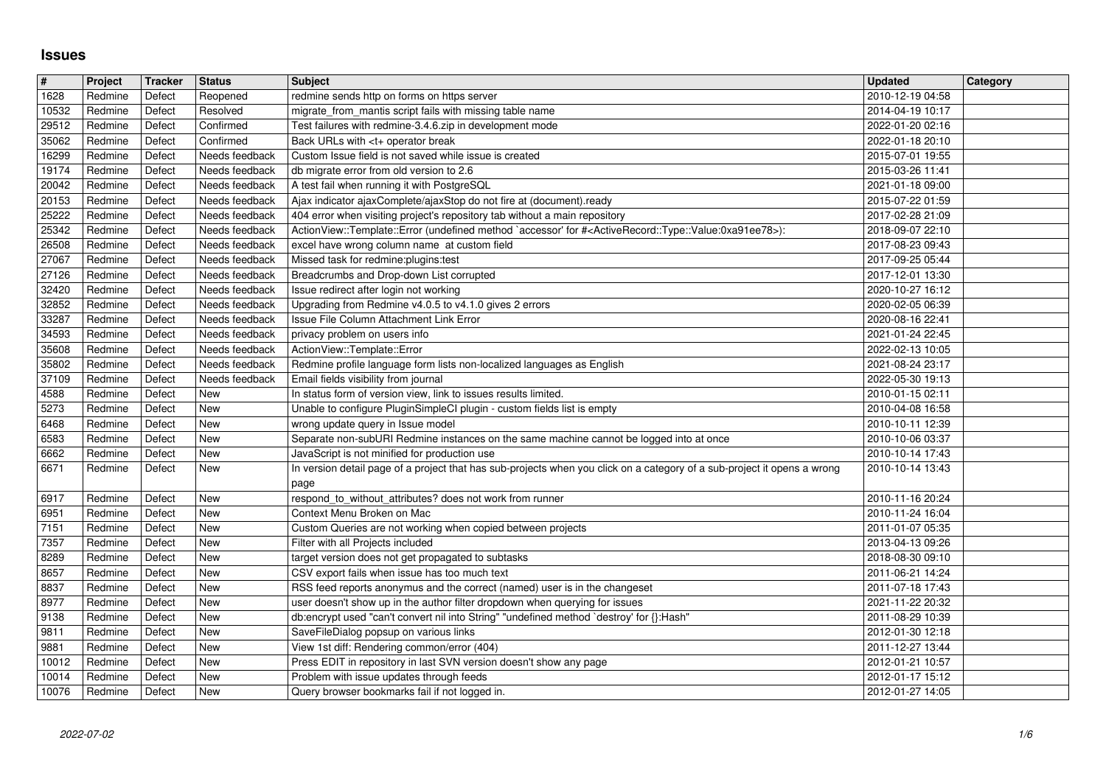## **Issues**

| $\overline{\#}$        | Project            | Tracker          | <b>Status</b>                    | <b>Subject</b>                                                                                                                                                            | <b>Updated</b>                       | Category |
|------------------------|--------------------|------------------|----------------------------------|---------------------------------------------------------------------------------------------------------------------------------------------------------------------------|--------------------------------------|----------|
| 1628<br>10532          | Redmine<br>Redmine | Defect<br>Defect | Reopened<br>Resolved             | redmine sends http on forms on https server<br>migrate_from_mantis script fails with missing table name                                                                   | 2010-12-19 04:58<br>2014-04-19 10:17 |          |
| 29512                  | Redmine            | Defect           | Confirmed                        | Test failures with redmine-3.4.6.zip in development mode                                                                                                                  | 2022-01-20 02:16                     |          |
| 35062<br>16299         | Redmine<br>Redmine | Defect<br>Defect | Confirmed<br>Needs feedback      | Back URLs with <t+ break<br="" operator="">Custom Issue field is not saved while issue is created</t+>                                                                    | 2022-01-18 20:10<br>2015-07-01 19:55 |          |
| 19174                  | Redmine            | Defect           | Needs feedback                   | db migrate error from old version to 2.6                                                                                                                                  | 2015-03-26 11:41                     |          |
| 20042                  | Redmine            | Defect           | Needs feedback                   | A test fail when running it with PostgreSQL                                                                                                                               | 2021-01-18 09:00                     |          |
| 20153<br>25222         | Redmine<br>Redmine | Defect<br>Defect | Needs feedback<br>Needs feedback | Ajax indicator ajaxComplete/ajaxStop do not fire at (document).ready<br>404 error when visiting project's repository tab without a main repository                        | 2015-07-22 01:59<br>2017-02-28 21:09 |          |
| 25342                  | Redmine            | Defect           | Needs feedback                   | ActionView::Template::Error (undefined method `accessor' for # <activerecord::type::value:0xa91ee78>):</activerecord::type::value:0xa91ee78>                              | 2018-09-07 22:10                     |          |
| 26508<br>27067         | Redmine<br>Redmine | Defect<br>Defect | Needs feedback<br>Needs feedback | excel have wrong column name at custom field<br>Missed task for redmine: plugins: test                                                                                    | 2017-08-23 09:43<br>2017-09-25 05:44 |          |
| 27126                  | Redmine            | Defect           | Needs feedback                   | Breadcrumbs and Drop-down List corrupted                                                                                                                                  | 2017-12-01 13:30                     |          |
| 32420                  | Redmine            | Defect           | Needs feedback                   | Issue redirect after login not working                                                                                                                                    | 2020-10-27 16:12                     |          |
| 32852<br>33287         | Redmine<br>Redmine | Defect<br>Defect | Needs feedback<br>Needs feedback | Upgrading from Redmine v4.0.5 to v4.1.0 gives 2 errors<br>Issue File Column Attachment Link Error                                                                         | 2020-02-05 06:39<br>2020-08-16 22:41 |          |
| 34593                  | Redmine            | Defect           | Needs feedback                   | privacy problem on users info                                                                                                                                             | 2021-01-24 22:45                     |          |
| 35608<br>35802         | Redmine<br>Redmine | Defect<br>Defect | Needs feedback<br>Needs feedback | ActionView::Template::Error<br>Redmine profile language form lists non-localized languages as English                                                                     | 2022-02-13 10:05<br>2021-08-24 23:17 |          |
| 37109                  | Redmine            | Defect           | Needs feedback                   | Email fields visibility from journal                                                                                                                                      | 2022-05-30 19:13                     |          |
| 4588                   | Redmine            | Defect           | New                              | In status form of version view, link to issues results limited.                                                                                                           | 2010-01-15 02:11                     |          |
| 5273<br>6468           | Redmine<br>Redmine | Defect<br>Defect | New<br>New                       | Unable to configure PluginSimpleCI plugin - custom fields list is empty<br>wrong update query in Issue model                                                              | 2010-04-08 16:58<br>2010-10-11 12:39 |          |
| 6583                   | Redmine            | Defect           | New                              | Separate non-subURI Redmine instances on the same machine cannot be logged into at once                                                                                   | 2010-10-06 03:37                     |          |
| 6662<br>6671           | Redmine<br>Redmine | Defect           | New<br>New                       | JavaScript is not minified for production use<br>In version detail page of a project that has sub-projects when you click on a category of a sub-project it opens a wrong | 2010-10-14 17:43<br>2010-10-14 13:43 |          |
|                        |                    | Defect           |                                  | page                                                                                                                                                                      |                                      |          |
| 6917                   | Redmine            | Defect           | New                              | respond_to_without_attributes? does not work from runner                                                                                                                  | 2010-11-16 20:24                     |          |
| 6951<br>$\boxed{7151}$ | Redmine<br>Redmine | Defect<br>Defect | New<br>New                       | Context Menu Broken on Mac<br>Custom Queries are not working when copied between projects                                                                                 | 2010-11-24 16:04<br>2011-01-07 05:35 |          |
| 7357                   | Redmine            | Defect           | New                              | Filter with all Projects included                                                                                                                                         | 2013-04-13 09:26                     |          |
| 8289                   | Redmine            | Defect           | New                              | target version does not get propagated to subtasks                                                                                                                        | 2018-08-30 09:10                     |          |
| 8657<br>8837           | Redmine<br>Redmine | Defect<br>Defect | New<br>New                       | CSV export fails when issue has too much text<br>RSS feed reports anonymus and the correct (named) user is in the changeset                                               | 2011-06-21 14:24<br>2011-07-18 17:43 |          |
| 8977                   | Redmine            | Defect           | New                              | user doesn't show up in the author filter dropdown when querying for issues                                                                                               | 2021-11-22 20:32                     |          |
| 9138<br>9811           | Redmine<br>Redmine | Defect<br>Defect | New<br>New                       | db:encrypt used "can't convert nil into String" "undefined method `destroy' for {}:Hash"<br>SaveFileDialog popsup on various links                                        | 2011-08-29 10:39<br>2012-01-30 12:18 |          |
| 9881                   | Redmine            | Defect           | New                              | View 1st diff: Rendering common/error (404)                                                                                                                               | 2011-12-27 13:44                     |          |
| $\boxed{10012}$        | Redmine            | Defect           | New                              | Press EDIT in repository in last SVN version doesn't show any page                                                                                                        | 2012-01-21 10:57                     |          |
| 10014<br>10076         | Redmine<br>Redmine | Defect<br>Defect | New<br>New                       | Problem with issue updates through feeds<br>Query browser bookmarks fail if not logged in.                                                                                | 2012-01-17 15:12<br>2012-01-27 14:05 |          |
|                        |                    |                  |                                  |                                                                                                                                                                           |                                      |          |
|                        |                    |                  |                                  |                                                                                                                                                                           |                                      |          |
|                        |                    |                  |                                  |                                                                                                                                                                           |                                      |          |
|                        |                    |                  |                                  |                                                                                                                                                                           |                                      |          |
|                        |                    |                  |                                  |                                                                                                                                                                           |                                      |          |
|                        |                    |                  |                                  |                                                                                                                                                                           |                                      |          |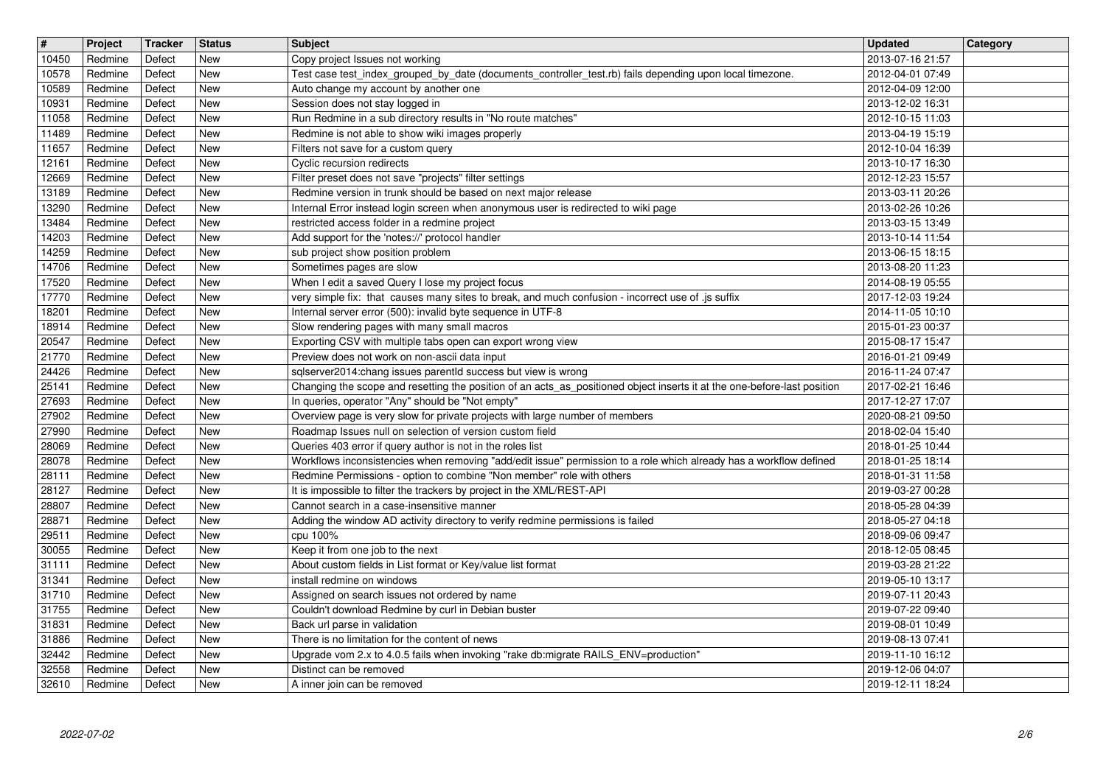| $\sqrt{t}$     | Project            | <b>Tracker</b>   | <b>Status</b>            | <b>Subject</b>                                                                                                                                                                            | Updated                              | <b>Category</b> |
|----------------|--------------------|------------------|--------------------------|-------------------------------------------------------------------------------------------------------------------------------------------------------------------------------------------|--------------------------------------|-----------------|
| 10450          | Redmine            | Defect           | <b>New</b>               | Copy project Issues not working                                                                                                                                                           | 2013-07-16 21:57                     |                 |
| 10578<br>10589 | Redmine<br>Redmine | Defect<br>Defect | <b>New</b><br><b>New</b> | Test case test_index_grouped_by_date (documents_controller_test.rb) fails depending upon local timezone.<br>Auto change my account by another one                                         | 2012-04-01 07:49<br>2012-04-09 12:00 |                 |
| 10931          | Redmine            | Defect           | <b>New</b>               | Session does not stay logged in                                                                                                                                                           | 2013-12-02 16:31                     |                 |
| 11058          | Redmine            | Defect           | <b>New</b>               | Run Redmine in a sub directory results in "No route matches"                                                                                                                              | 2012-10-15 11:03                     |                 |
| 11489          | Redmine            | Defect           | <b>New</b>               | Redmine is not able to show wiki images properly                                                                                                                                          | 2013-04-19 15:19                     |                 |
| 11657<br>12161 | Redmine<br>Redmine | Defect<br>Defect | <b>New</b><br><b>New</b> | Filters not save for a custom query<br>Cyclic recursion redirects                                                                                                                         | 2012-10-04 16:39<br>2013-10-17 16:30 |                 |
| 12669          | Redmine            | Defect           | <b>New</b>               | Filter preset does not save "projects" filter settings                                                                                                                                    | 2012-12-23 15:57                     |                 |
| 13189          | Redmine            | Defect           | <b>New</b>               | Redmine version in trunk should be based on next major release                                                                                                                            | 2013-03-11 20:26                     |                 |
| 13290          | Redmine            | Defect           | <b>New</b>               | Internal Error instead login screen when anonymous user is redirected to wiki page                                                                                                        | 2013-02-26 10:26                     |                 |
| 13484<br>14203 | Redmine<br>Redmine | Defect<br>Defect | <b>New</b><br>New        | restricted access folder in a redmine project<br>Add support for the 'notes://' protocol handler                                                                                          | 2013-03-15 13:49<br>2013-10-14 11:54 |                 |
| 14259          | Redmine            | Defect           | New                      | sub project show position problem                                                                                                                                                         | 2013-06-15 18:15                     |                 |
| 14706          | Redmine            | Defect           | <b>New</b>               | Sometimes pages are slow                                                                                                                                                                  | 2013-08-20 11:23                     |                 |
| 17520          | Redmine            | Defect           | New                      | When I edit a saved Query I lose my project focus                                                                                                                                         | 2014-08-19 05:55                     |                 |
| 17770          | Redmine<br>Redmine | Defect<br>Defect | <b>New</b><br><b>New</b> | very simple fix: that causes many sites to break, and much confusion - incorrect use of .js suffix<br>Internal server error (500): invalid byte sequence in UTF-8                         | 2017-12-03 19:24                     |                 |
| 18201<br>18914 | Redmine            | Defect           | <b>New</b>               | Slow rendering pages with many small macros                                                                                                                                               | 2014-11-05 10:10<br>2015-01-23 00:37 |                 |
| 20547          | Redmine            | Defect           | <b>New</b>               | Exporting CSV with multiple tabs open can export wrong view                                                                                                                               | 2015-08-17 15:47                     |                 |
| 21770          | Redmine            | Defect           | New                      | Preview does not work on non-ascii data input                                                                                                                                             | 2016-01-21 09:49                     |                 |
| 24426<br>25141 | Redmine<br>Redmine | Defect<br>Defect | New<br><b>New</b>        | sqlserver2014:chang issues parentId success but view is wrong<br>Changing the scope and resetting the position of an acts_as_positioned object inserts it at the one-before-last position | 2016-11-24 07:47<br>2017-02-21 16:46 |                 |
| 27693          | Redmine            | Defect           | <b>New</b>               | In queries, operator "Any" should be "Not empty"                                                                                                                                          | 2017-12-27 17:07                     |                 |
| 27902          | Redmine            | Defect           | New                      | Overview page is very slow for private projects with large number of members                                                                                                              | 2020-08-21 09:50                     |                 |
| 27990          | Redmine            | Defect           | <b>New</b>               | Roadmap Issues null on selection of version custom field                                                                                                                                  | 2018-02-04 15:40                     |                 |
| 28069<br>28078 | Redmine<br>Redmine | Defect<br>Defect | <b>New</b><br><b>New</b> | Queries 403 error if query author is not in the roles list<br>Workflows inconsistencies when removing "add/edit issue" permission to a role which already has a workflow defined          | 2018-01-25 10:44<br>2018-01-25 18:14 |                 |
| 28111          | Redmine            | Defect           | <b>New</b>               | Redmine Permissions - option to combine "Non member" role with others                                                                                                                     | 2018-01-31 11:58                     |                 |
| 28127          | Redmine            | Defect           | New                      | It is impossible to filter the trackers by project in the XML/REST-API                                                                                                                    | 2019-03-27 00:28                     |                 |
| 28807          | Redmine            | Defect           | New                      | Cannot search in a case-insensitive manner                                                                                                                                                | 2018-05-28 04:39                     |                 |
| 28871<br>29511 | Redmine<br>Redmine | Defect<br>Defect | <b>New</b><br>New        | Adding the window AD activity directory to verify redmine permissions is failed<br>cpu 100%                                                                                               | 2018-05-27 04:18<br>2018-09-06 09:47 |                 |
| 30055          | Redmine            | Defect           | <b>New</b>               | Keep it from one job to the next                                                                                                                                                          | 2018-12-05 08:45                     |                 |
| 31111          | Redmine            | Defect           | <b>New</b>               | About custom fields in List format or Key/value list format                                                                                                                               | 2019-03-28 21:22                     |                 |
| 31341          | Redmine            | Defect           | <b>New</b>               | install redmine on windows                                                                                                                                                                | 2019-05-10 13:17                     |                 |
| 31710          | Redmine            | Defect           | <b>New</b>               | Assigned on search issues not ordered by name                                                                                                                                             | 2019-07-11 20:43                     |                 |
| 31755<br>31831 | Redmine<br>Redmine | Defect<br>Defect | <b>New</b><br>New        | Couldn't download Redmine by curl in Debian buster<br>Back url parse in validation                                                                                                        | 2019-07-22 09:40<br>2019-08-01 10:49 |                 |
| 31886          | Redmine            | Defect           | New                      | There is no limitation for the content of news                                                                                                                                            | 2019-08-13 07:41                     |                 |
| 32442          | Redmine            | Defect           | New                      | Upgrade vom 2.x to 4.0.5 fails when invoking "rake db:migrate RAILS_ENV=production"                                                                                                       | 2019-11-10 16:12                     |                 |
| 32558<br>32610 | Redmine<br>Redmine | Defect<br>Defect | New<br>New               | Distinct can be removed<br>A inner join can be removed                                                                                                                                    | 2019-12-06 04:07<br>2019-12-11 18:24 |                 |
|                |                    |                  |                          |                                                                                                                                                                                           |                                      |                 |
|                |                    |                  |                          |                                                                                                                                                                                           |                                      |                 |
|                |                    |                  |                          |                                                                                                                                                                                           |                                      |                 |
|                |                    |                  |                          |                                                                                                                                                                                           |                                      |                 |
|                |                    |                  |                          |                                                                                                                                                                                           |                                      |                 |
|                |                    |                  |                          |                                                                                                                                                                                           |                                      |                 |
|                |                    |                  |                          |                                                                                                                                                                                           |                                      |                 |
|                |                    |                  |                          |                                                                                                                                                                                           |                                      |                 |
|                |                    |                  |                          |                                                                                                                                                                                           |                                      |                 |
|                |                    |                  |                          |                                                                                                                                                                                           |                                      |                 |
|                |                    |                  |                          |                                                                                                                                                                                           |                                      |                 |
|                |                    |                  |                          |                                                                                                                                                                                           |                                      |                 |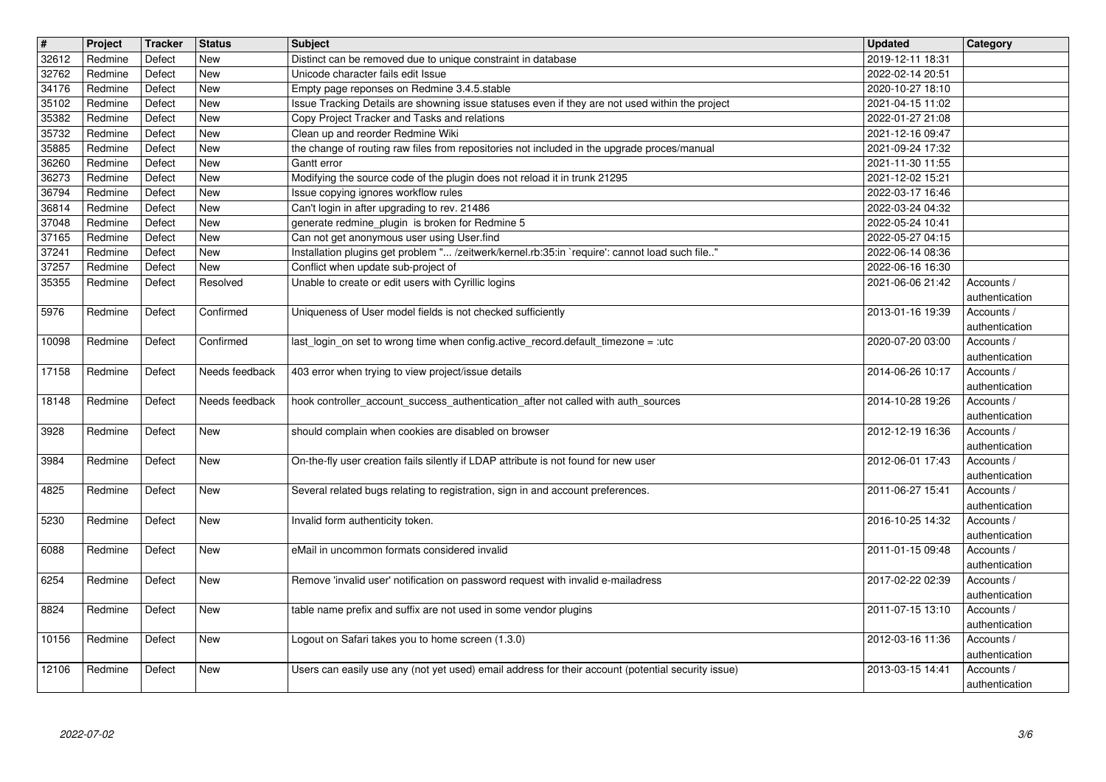| $\overline{\mathbf{H}}$ | Project            | <b>Tracker</b>   | <b>Status</b>            | <b>Subject</b>                                                                                     | <b>Updated</b>                       | Category                     |
|-------------------------|--------------------|------------------|--------------------------|----------------------------------------------------------------------------------------------------|--------------------------------------|------------------------------|
| 32612<br>32762          | Redmine<br>Redmine | Defect<br>Defect | <b>New</b><br><b>New</b> | Distinct can be removed due to unique constraint in database<br>Unicode character fails edit Issue | 2019-12-11 18:31<br>2022-02-14 20:51 |                              |
| 34176                   | Redmine            | Defect           | <b>New</b>               | Empty page reponses on Redmine 3.4.5.stable                                                        | 2020-10-27 18:10                     |                              |
| 35102                   | Redmine            | Defect           | New                      | Issue Tracking Details are showning issue statuses even if they are not used within the project    | 2021-04-15 11:02                     |                              |
| 35382<br>35732          | Redmine<br>Redmine | Defect<br>Defect | New<br>New               | Copy Project Tracker and Tasks and relations<br>Clean up and reorder Redmine Wiki                  | 2022-01-27 21:08<br>2021-12-16 09:47 |                              |
| 35885                   | Redmine            | Defect           | <b>New</b>               | the change of routing raw files from repositories not included in the upgrade proces/manual        | 2021-09-24 17:32                     |                              |
| 36260<br>36273          | Redmine<br>Redmine | Defect<br>Defect | New<br>New               | Gantt error<br>Modifying the source code of the plugin does not reload it in trunk 21295           | 2021-11-30 11:55<br>2021-12-02 15:21 |                              |
| 36794                   | Redmine            | Defect           | New                      | Issue copying ignores workflow rules                                                               | 2022-03-17 16:46                     |                              |
| 36814                   | Redmine            | Defect           | New                      | Can't login in after upgrading to rev. 21486                                                       | 2022-03-24 04:32                     |                              |
| 37048<br>37165          | Redmine<br>Redmine | Defect<br>Defect | <b>New</b><br>New        | generate redmine plugin is broken for Redmine 5<br>Can not get anonymous user using User.find      | 2022-05-24 10:41<br>2022-05-27 04:15 |                              |
| 37241                   | Redmine            | Defect           | <b>New</b>               | Installation plugins get problem " /zeitwerk/kernel.rb:35:in `require': cannot load such file"     | 2022-06-14 08:36                     |                              |
| 37257                   | Redmine            | Defect           | New                      | Conflict when update sub-project of                                                                | 2022-06-16 16:30                     |                              |
| 35355                   | Redmine            | Defect           | Resolved                 | Unable to create or edit users with Cyrillic logins                                                | 2021-06-06 21:42                     | Accounts /<br>authentication |
| 5976                    | Redmine            | Defect           | Confirmed                | Uniqueness of User model fields is not checked sufficiently                                        | 2013-01-16 19:39                     | Accounts /                   |
| 10098                   | Redmine            | Defect           | Confirmed                | last_login_on set to wrong time when config.active_record.default_timezone = :utc                  | 2020-07-20 03:00                     | authentication<br>Accounts / |
|                         |                    |                  |                          |                                                                                                    |                                      | authentication               |
| 17158                   | Redmine            | Defect           | Needs feedback           | 403 error when trying to view project/issue details                                                | 2014-06-26 10:17                     | Accounts /                   |
| 18148                   | Redmine            | Defect           | Needs feedback           | hook controller_account_success_authentication_after not called with auth_sources                  | 2014-10-28 19:26                     | authentication<br>Accounts / |
|                         |                    |                  |                          |                                                                                                    |                                      | authentication               |
| 3928                    | Redmine            | Defect           | New                      | should complain when cookies are disabled on browser                                               | 2012-12-19 16:36                     | Accounts /<br>authentication |
| 3984                    | Redmine            | Defect           | New                      | On-the-fly user creation fails silently if LDAP attribute is not found for new user                | 2012-06-01 17:43                     | Accounts /                   |
|                         |                    |                  |                          |                                                                                                    |                                      | authentication               |
| 4825                    | Redmine            | Defect           | <b>New</b>               | Several related bugs relating to registration, sign in and account preferences.                    | 2011-06-27 15:41                     | Accounts /<br>authentication |
| 5230                    | Redmine            | Defect           | New                      | Invalid form authenticity token.                                                                   | 2016-10-25 14:32                     | Accounts /                   |
|                         |                    |                  |                          | eMail in uncommon formats considered invalid                                                       |                                      | authentication               |
| 6088                    | Redmine            | Defect           | New                      |                                                                                                    | 2011-01-15 09:48                     | Accounts /<br>authentication |
| 6254                    | Redmine            | Defect           | New                      | Remove 'invalid user' notification on password request with invalid e-mailadress                   | 2017-02-22 02:39                     | Accounts /                   |
| 8824                    | Redmine            | Defect           | <b>New</b>               | table name prefix and suffix are not used in some vendor plugins                                   | 2011-07-15 13:10                     | authentication<br>Accounts / |
|                         |                    |                  |                          |                                                                                                    |                                      | authentication               |
| 10156                   | Redmine            | Defect           | New                      | Logout on Safari takes you to home screen (1.3.0)                                                  | 2012-03-16 11:36                     | Accounts /                   |
| 12106                   | Redmine            | Defect           | New                      | Users can easily use any (not yet used) email address for their account (potential security issue) | 2013-03-15 14:41                     | authentication<br>Accounts / |
|                         |                    |                  |                          |                                                                                                    |                                      | authentication               |
|                         |                    |                  |                          |                                                                                                    |                                      |                              |
|                         |                    |                  |                          |                                                                                                    |                                      |                              |
|                         |                    |                  |                          |                                                                                                    |                                      |                              |
|                         |                    |                  |                          |                                                                                                    |                                      |                              |
|                         |                    |                  |                          |                                                                                                    |                                      |                              |
|                         |                    |                  |                          |                                                                                                    |                                      |                              |
|                         |                    |                  |                          |                                                                                                    |                                      |                              |
|                         |                    |                  |                          |                                                                                                    |                                      |                              |
|                         |                    |                  |                          |                                                                                                    |                                      |                              |
|                         |                    |                  |                          |                                                                                                    |                                      |                              |
|                         |                    |                  |                          |                                                                                                    |                                      |                              |
|                         |                    |                  |                          |                                                                                                    |                                      |                              |
|                         |                    |                  |                          |                                                                                                    |                                      |                              |
|                         |                    |                  |                          |                                                                                                    |                                      |                              |
|                         |                    |                  |                          |                                                                                                    |                                      |                              |
|                         |                    |                  |                          |                                                                                                    |                                      |                              |
|                         |                    |                  |                          |                                                                                                    |                                      |                              |
|                         |                    |                  |                          |                                                                                                    |                                      |                              |
|                         |                    |                  |                          |                                                                                                    |                                      |                              |
|                         |                    |                  |                          |                                                                                                    |                                      |                              |
|                         |                    |                  |                          |                                                                                                    |                                      |                              |
|                         |                    |                  |                          |                                                                                                    |                                      |                              |
|                         |                    |                  |                          |                                                                                                    |                                      |                              |
|                         |                    |                  |                          |                                                                                                    |                                      |                              |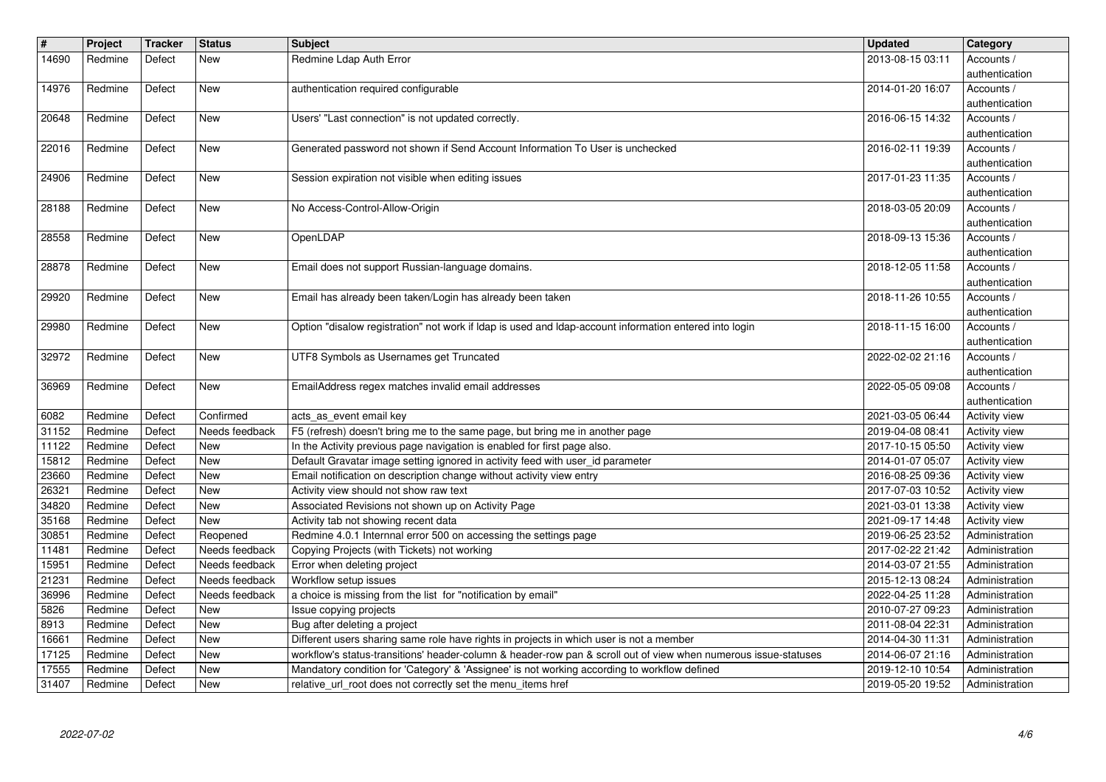| $\vert$ #      | Project            | <b>Tracker</b>   | <b>Status</b>                    | <b>Subject</b>                                                                                                                                               | Updated                              | Category                         |
|----------------|--------------------|------------------|----------------------------------|--------------------------------------------------------------------------------------------------------------------------------------------------------------|--------------------------------------|----------------------------------|
| 14690          | Redmine            | Defect           | New                              | Redmine Ldap Auth Error                                                                                                                                      | 2013-08-15 03:11                     | Accounts /                       |
| 14976          | Redmine            | Defect           | New                              | authentication required configurable                                                                                                                         | 2014-01-20 16:07                     | authentication<br>Accounts /     |
|                |                    |                  |                                  |                                                                                                                                                              |                                      | authentication                   |
| 20648          | Redmine            | Defect           | New                              | Users' "Last connection" is not updated correctly.                                                                                                           | 2016-06-15 14:32                     | Accounts /                       |
|                |                    |                  |                                  | Generated password not shown if Send Account Information To User is unchecked                                                                                |                                      | authentication                   |
| 22016          | Redmine            | Defect           | New                              |                                                                                                                                                              | 2016-02-11 19:39                     | Accounts /<br>authentication     |
| 24906          | Redmine            | Defect           | New                              | Session expiration not visible when editing issues                                                                                                           | 2017-01-23 11:35                     | Accounts /                       |
| 28188          | Redmine            | Defect           | New                              | No Access-Control-Allow-Origin                                                                                                                               | 2018-03-05 20:09                     | authentication<br>Accounts /     |
|                |                    |                  |                                  |                                                                                                                                                              |                                      | authentication                   |
| 28558          | Redmine            | Defect           | New                              | OpenLDAP                                                                                                                                                     | 2018-09-13 15:36                     | Accounts /<br>authentication     |
| 28878          | Redmine            | Defect           | New                              | Email does not support Russian-language domains.                                                                                                             | 2018-12-05 11:58                     | Accounts /                       |
| 29920          | Redmine            | Defect           | New                              | Email has already been taken/Login has already been taken                                                                                                    | 2018-11-26 10:55                     | authentication<br>Accounts /     |
|                |                    |                  |                                  |                                                                                                                                                              |                                      | authentication                   |
| 29980          | Redmine            | Defect           | New                              | Option "disalow registration" not work if Idap is used and Idap-account information entered into login                                                       | 2018-11-15 16:00                     | Accounts /                       |
| 32972          | Redmine            | Defect           | New                              | UTF8 Symbols as Usernames get Truncated                                                                                                                      | 2022-02-02 21:16                     | authentication<br>Accounts /     |
|                |                    |                  |                                  |                                                                                                                                                              |                                      | authentication                   |
| 36969          | Redmine            | Defect           | New                              | EmailAddress regex matches invalid email addresses                                                                                                           | 2022-05-05 09:08                     | Accounts /<br>authentication     |
| 6082           | Redmine            | Defect           | Confirmed                        | acts_as_event email key                                                                                                                                      | 2021-03-05 06:44                     | Activity view                    |
| 31152          | Redmine            | Defect           | Needs feedback                   | F5 (refresh) doesn't bring me to the same page, but bring me in another page                                                                                 | 2019-04-08 08:41                     | Activity view                    |
| 11122<br>15812 | Redmine<br>Redmine | Defect<br>Defect | New<br>New                       | In the Activity previous page navigation is enabled for first page also.<br>Default Gravatar image setting ignored in activity feed with user_id parameter   | 2017-10-15 05:50<br>2014-01-07 05:07 | Activity view<br>Activity view   |
| 23660          | Redmine            | Defect           | <b>New</b>                       | Email notification on description change without activity view entry                                                                                         | 2016-08-25 09:36                     | <b>Activity view</b>             |
| 26321          | Redmine            | Defect           | <b>New</b>                       | Activity view should not show raw text                                                                                                                       | 2017-07-03 10:52                     | Activity view                    |
| 34820<br>35168 | Redmine<br>Redmine | Defect<br>Defect | <b>New</b><br>New                | Associated Revisions not shown up on Activity Page<br>Activity tab not showing recent data                                                                   | 2021-03-01 13:38<br>2021-09-17 14:48 | Activity view<br>Activity view   |
| 30851          | Redmine            | Defect           | Reopened                         | Redmine 4.0.1 Internnal error 500 on accessing the settings page                                                                                             | 2019-06-25 23:52                     | Administration                   |
| 11481          | Redmine            | Defect           | Needs feedback                   | Copying Projects (with Tickets) not working                                                                                                                  | 2017-02-22 21:42                     | Administration                   |
| 15951<br>21231 | Redmine<br>Redmine | Defect<br>Defect | Needs feedback<br>Needs feedback | Error when deleting project<br>Workflow setup issues                                                                                                         | 2014-03-07 21:55<br>2015-12-13 08:24 | Administration<br>Administration |
| 36996          | Redmine            | Defect           | Needs feedback                   | a choice is missing from the list for "notification by email"                                                                                                | 2022-04-25 11:28                     | Administration                   |
| 5826           | Redmine            | Defect           | New                              | Issue copying projects                                                                                                                                       | 2010-07-27 09:23                     | Administration                   |
| 8913<br>16661  | Redmine<br>Redmine | Defect<br>Defect | New<br>New                       | Bug after deleting a project<br>Different users sharing same role have rights in projects in which user is not a member                                      | 2011-08-04 22:31<br>2014-04-30 11:31 | Administration<br>Administration |
| 17125          | Redmine            | Defect           | New                              | workflow's status-transitions' header-column & header-row pan & scroll out of view when numerous issue-statuses                                              | 2014-06-07 21:16                     | Administration                   |
| 17555<br>31407 | Redmine<br>Redmine | Defect<br>Defect | New<br>New                       | Mandatory condition for 'Category' & 'Assignee' is not working according to workflow defined<br>relative_url_root does not correctly set the menu_items href | 2019-12-10 10:54<br>2019-05-20 19:52 | Administration<br>Administration |
|                |                    |                  |                                  |                                                                                                                                                              |                                      |                                  |
|                |                    |                  |                                  |                                                                                                                                                              |                                      |                                  |
|                |                    |                  |                                  |                                                                                                                                                              |                                      |                                  |
|                |                    |                  |                                  |                                                                                                                                                              |                                      |                                  |
|                |                    |                  |                                  |                                                                                                                                                              |                                      |                                  |
|                |                    |                  |                                  |                                                                                                                                                              |                                      |                                  |
|                |                    |                  |                                  |                                                                                                                                                              |                                      |                                  |
|                |                    |                  |                                  |                                                                                                                                                              |                                      |                                  |
|                |                    |                  |                                  |                                                                                                                                                              |                                      |                                  |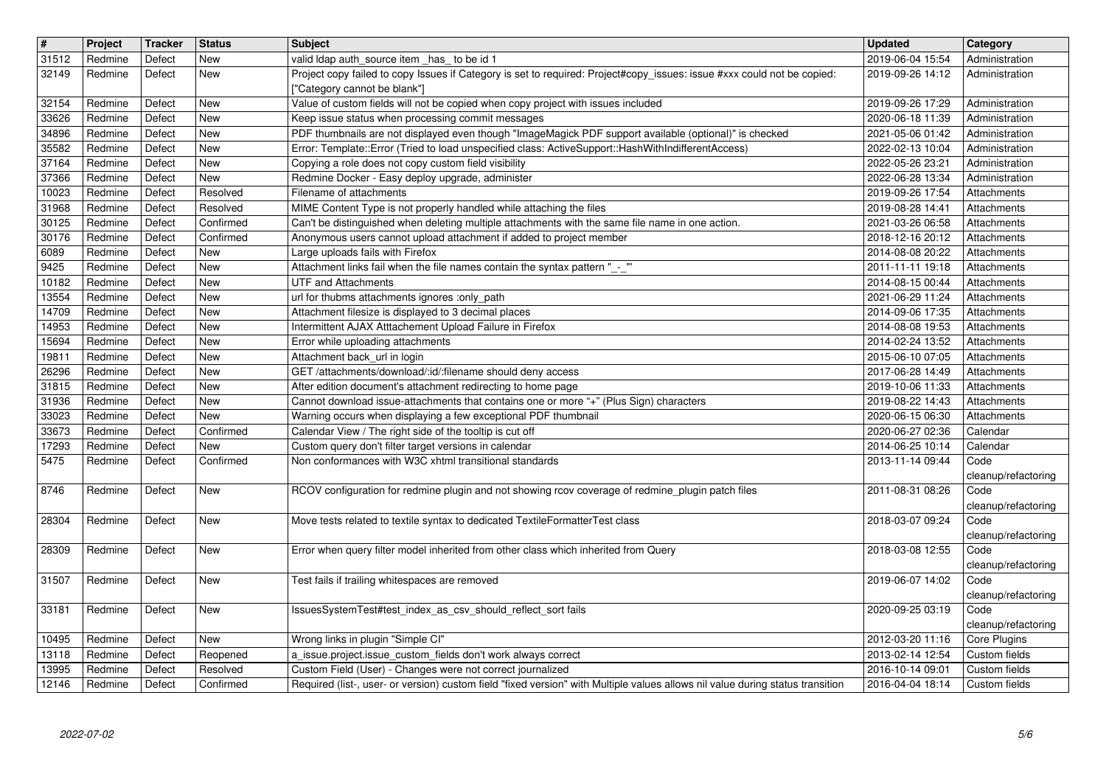| $\sqrt{t}$     | Project            | Tracker          | <b>Status</b>           | Subject                                                                                                                                                                                                      | <b>Updated</b>                       | Category                         |
|----------------|--------------------|------------------|-------------------------|--------------------------------------------------------------------------------------------------------------------------------------------------------------------------------------------------------------|--------------------------------------|----------------------------------|
| 31512<br>32149 | Redmine<br>Redmine | Defect<br>Defect | New<br>New              | valid Idap auth_source item _has_ to be id 1<br>Project copy failed to copy Issues if Category is set to required: Project#copy_issues: issue #xxx could not be copied:                                      | 2019-06-04 15:54<br>2019-09-26 14:12 | Administration<br>Administration |
|                |                    |                  |                         | ["Category cannot be blank"]                                                                                                                                                                                 |                                      |                                  |
| 32154          | Redmine            | Defect           | New                     | Value of custom fields will not be copied when copy project with issues included                                                                                                                             | 2019-09-26 17:29                     | Administration                   |
| 33626          | Redmine            | Defect           | New                     | Keep issue status when processing commit messages                                                                                                                                                            | 2020-06-18 11:39                     | Administration                   |
| 34896<br>35582 | Redmine            | Defect<br>Defect | New<br>New              | PDF thumbnails are not displayed even though "ImageMagick PDF support available (optional)" is checked<br>Error: Template::Error (Tried to load unspecified class: ActiveSupport::HashWithIndifferentAccess) | 2021-05-06 01:42                     | Administration                   |
| 37164          | Redmine<br>Redmine | Defect           | New                     | Copying a role does not copy custom field visibility                                                                                                                                                         | 2022-02-13 10:04<br>2022-05-26 23:21 | Administration<br>Administration |
| 37366          | Redmine            | Defect           | New                     | Redmine Docker - Easy deploy upgrade, administer                                                                                                                                                             | 2022-06-28 13:34                     | Administration                   |
| 10023          | Redmine            | Defect           | Resolved                | Filename of attachments                                                                                                                                                                                      | 2019-09-26 17:54                     | Attachments                      |
| 31968<br>30125 | Redmine<br>Redmine | Defect<br>Defect | Resolved<br>Confirmed   | MIME Content Type is not properly handled while attaching the files<br>Can't be distinguished when deleting multiple attachments with the same file name in one action.                                      | 2019-08-28 14:41<br>2021-03-26 06:58 | Attachments<br>Attachments       |
| 30176          | Redmine            | Defect           | Confirmed               | Anonymous users cannot upload attachment if added to project member                                                                                                                                          | 2018-12-16 20:12                     | Attachments                      |
| 6089           | Redmine            | Defect           | <b>New</b>              | Large uploads fails with Firefox                                                                                                                                                                             | 2014-08-08 20:22                     | Attachments                      |
| 9425           | Redmine            | Defect           | New                     | Attachment links fail when the file names contain the syntax pattern "_-_"                                                                                                                                   | 2011-11-11 19:18                     | Attachments                      |
| 10182<br>13554 | Redmine<br>Redmine | Defect<br>Defect | <b>New</b><br>New       | <b>UTF and Attachments</b><br>url for thubms attachments ignores :only_path                                                                                                                                  | 2014-08-15 00:44<br>2021-06-29 11:24 | Attachments<br>Attachments       |
| 14709          | Redmine            | Defect           | New                     | Attachment filesize is displayed to 3 decimal places                                                                                                                                                         | 2014-09-06 17:35                     | Attachments                      |
| 14953          | Redmine            | Defect           | New                     | Intermittent AJAX Atttachement Upload Failure in Firefox                                                                                                                                                     | 2014-08-08 19:53                     | Attachments                      |
| 15694          | Redmine            | Defect           | New                     | Error while uploading attachments                                                                                                                                                                            | 2014-02-24 13:52                     | Attachments                      |
| 19811<br>26296 | Redmine<br>Redmine | Defect<br>Defect | New<br>New              | Attachment back_url in login<br>GET /attachments/download/:id/:filename should deny access                                                                                                                   | 2015-06-10 07:05<br>2017-06-28 14:49 | Attachments<br>Attachments       |
| 31815          | Redmine            | Defect           | New                     | After edition document's attachment redirecting to home page                                                                                                                                                 | 2019-10-06 11:33                     | Attachments                      |
| 31936          | Redmine            | Defect           | New                     | Cannot download issue-attachments that contains one or more "+" (Plus Sign) characters                                                                                                                       | 2019-08-22 14:43                     | Attachments                      |
| 33023          | Redmine            | Defect           | New                     | Warning occurs when displaying a few exceptional PDF thumbnail                                                                                                                                               | 2020-06-15 06:30                     | Attachments                      |
| 33673          | Redmine            | Defect           | Confirmed<br><b>New</b> | Calendar View / The right side of the tooltip is cut off                                                                                                                                                     | 2020-06-27 02:36                     | Calendar                         |
| 17293<br>5475  | Redmine<br>Redmine | Defect<br>Defect | Confirmed               | Custom query don't filter target versions in calendar<br>Non conformances with W3C xhtml transitional standards                                                                                              | 2014-06-25 10:14<br>2013-11-14 09:44 | Calendar<br>Code                 |
|                |                    |                  |                         |                                                                                                                                                                                                              |                                      | cleanup/refactoring              |
| 8746           | Redmine            | Defect           | <b>New</b>              | RCOV configuration for redmine plugin and not showing rcov coverage of redmine_plugin patch files                                                                                                            | 2011-08-31 08:26                     | Code                             |
|                |                    |                  |                         |                                                                                                                                                                                                              |                                      | cleanup/refactoring              |
| 28304          | Redmine            | Defect           | New                     | Move tests related to textile syntax to dedicated TextileFormatterTest class                                                                                                                                 | 2018-03-07 09:24                     | Code<br>cleanup/refactoring      |
| 28309          | Redmine            | Defect           | New                     | Error when query filter model inherited from other class which inherited from Query                                                                                                                          | 2018-03-08 12:55                     | Code                             |
|                |                    |                  |                         |                                                                                                                                                                                                              |                                      | cleanup/refactoring              |
| 31507          | Redmine            | Defect           | New                     | Test fails if trailing whitespaces are removed                                                                                                                                                               | 2019-06-07 14:02                     | Code                             |
|                |                    |                  |                         |                                                                                                                                                                                                              |                                      | cleanup/refactoring              |
| 33181          | Redmine            | Defect           | New                     | IssuesSystemTest#test_index_as_csv_should_reflect_sort fails                                                                                                                                                 | 2020-09-25 03:19                     | Code<br>cleanup/refactoring      |
| 10495          | Redmine            | Defect           | New                     | Wrong links in plugin "Simple CI"                                                                                                                                                                            | 2012-03-20 11:16                     | Core Plugins                     |
| 13118          | Redmine            | Defect           | Reopened                | a_issue.project.issue_custom_fields don't work always correct                                                                                                                                                | 2013-02-14 12:54                     | Custom fields                    |
| 13995<br>12146 | Redmine<br>Redmine | Defect<br>Defect | Resolved<br>Confirmed   | Custom Field (User) - Changes were not correct journalized<br>Required (list-, user- or version) custom field "fixed version" with Multiple values allows nil value during status transition                 | 2016-10-14 09:01<br>2016-04-04 18:14 | Custom fields<br>Custom fields   |
|                |                    |                  |                         |                                                                                                                                                                                                              |                                      |                                  |
|                | 2022-07-02         |                  |                         |                                                                                                                                                                                                              |                                      |                                  |
|                |                    |                  |                         |                                                                                                                                                                                                              |                                      |                                  |
|                |                    |                  |                         |                                                                                                                                                                                                              |                                      |                                  |
|                |                    |                  |                         |                                                                                                                                                                                                              |                                      |                                  |
|                |                    |                  |                         |                                                                                                                                                                                                              |                                      |                                  |
|                |                    |                  |                         |                                                                                                                                                                                                              |                                      |                                  |
|                |                    |                  |                         |                                                                                                                                                                                                              |                                      |                                  |
|                |                    |                  |                         |                                                                                                                                                                                                              |                                      |                                  |
|                |                    |                  |                         |                                                                                                                                                                                                              |                                      |                                  |
|                |                    |                  |                         |                                                                                                                                                                                                              |                                      |                                  |
|                |                    |                  |                         |                                                                                                                                                                                                              |                                      |                                  |
|                |                    |                  |                         |                                                                                                                                                                                                              |                                      |                                  |
|                |                    |                  |                         |                                                                                                                                                                                                              |                                      |                                  |
|                |                    |                  |                         |                                                                                                                                                                                                              |                                      |                                  |
|                |                    |                  |                         |                                                                                                                                                                                                              |                                      |                                  |
|                |                    |                  |                         |                                                                                                                                                                                                              |                                      |                                  |
|                |                    |                  |                         |                                                                                                                                                                                                              |                                      |                                  |
|                |                    |                  |                         |                                                                                                                                                                                                              |                                      |                                  |
|                |                    |                  |                         |                                                                                                                                                                                                              |                                      |                                  |
|                |                    |                  |                         |                                                                                                                                                                                                              |                                      |                                  |
|                |                    |                  |                         |                                                                                                                                                                                                              |                                      |                                  |
|                |                    |                  |                         |                                                                                                                                                                                                              |                                      |                                  |
|                |                    |                  |                         |                                                                                                                                                                                                              |                                      |                                  |
|                |                    |                  |                         |                                                                                                                                                                                                              |                                      |                                  |
|                |                    |                  |                         |                                                                                                                                                                                                              |                                      |                                  |
|                |                    |                  |                         |                                                                                                                                                                                                              |                                      |                                  |
|                |                    |                  |                         |                                                                                                                                                                                                              |                                      |                                  |
|                |                    |                  |                         |                                                                                                                                                                                                              |                                      |                                  |
|                |                    |                  |                         |                                                                                                                                                                                                              |                                      |                                  |
|                |                    |                  |                         |                                                                                                                                                                                                              |                                      |                                  |
|                |                    |                  |                         |                                                                                                                                                                                                              |                                      |                                  |
|                |                    |                  |                         |                                                                                                                                                                                                              |                                      |                                  |
|                |                    |                  |                         |                                                                                                                                                                                                              |                                      |                                  |
|                |                    |                  |                         |                                                                                                                                                                                                              |                                      |                                  |
|                |                    |                  |                         |                                                                                                                                                                                                              |                                      |                                  |
|                |                    |                  |                         |                                                                                                                                                                                                              |                                      |                                  |
|                |                    |                  |                         |                                                                                                                                                                                                              |                                      |                                  |
|                |                    |                  |                         |                                                                                                                                                                                                              |                                      |                                  |
|                |                    |                  |                         |                                                                                                                                                                                                              |                                      |                                  |
|                |                    |                  |                         |                                                                                                                                                                                                              |                                      |                                  |
|                |                    |                  |                         |                                                                                                                                                                                                              |                                      |                                  |
|                |                    |                  |                         |                                                                                                                                                                                                              |                                      |                                  |
|                |                    |                  |                         |                                                                                                                                                                                                              |                                      |                                  |